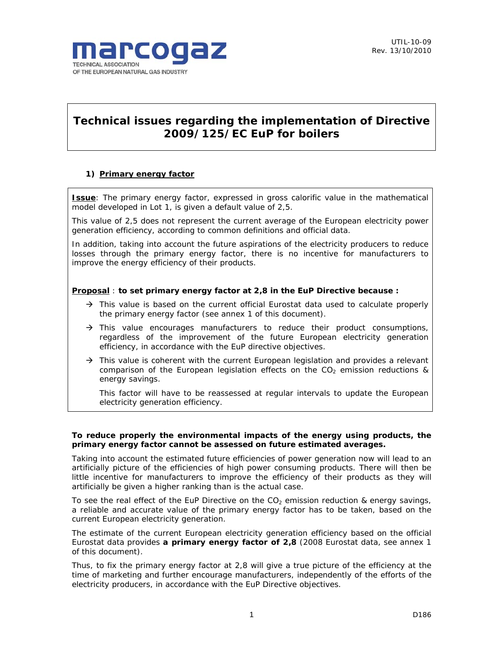

# **Technical issues regarding the implementation of Directive 2009/125/EC EuP for boilers**

## **1) Primary energy factor**

**Issue**: The primary energy factor, expressed in gross calorific value in the mathematical model developed in Lot 1, is given a default value of 2,5.

This value of 2,5 does not represent the current average of the European electricity power generation efficiency, according to common definitions and official data.

In addition, taking into account the future aspirations of the electricity producers to reduce losses through the primary energy factor, there is no incentive for manufacturers to improve the energy efficiency of their products.

### **Proposal** : *to set primary energy factor at 2,8 in the EuP Directive because :*

- $\rightarrow$  This value is based on the current official Eurostat data used to calculate properly the primary energy factor (see annex 1 of this document).
- $\rightarrow$  This value encourages manufacturers to reduce their product consumptions, regardless of the improvement of the future European electricity generation efficiency, in accordance with the EuP directive objectives.
- $\rightarrow$  This value is coherent with the current European legislation and provides a relevant comparison of the European legislation effects on the  $CO<sub>2</sub>$  emission reductions & energy savings.

This factor will have to be reassessed at regular intervals to update the European electricity generation efficiency.

### **To reduce properly the environmental impacts of the energy using products, the primary energy factor cannot be assessed on future estimated averages.**

Taking into account the estimated future efficiencies of power generation now will lead to an artificially picture of the efficiencies of high power consuming products. There will then be little incentive for manufacturers to improve the efficiency of their products as they will artificially be given a higher ranking than is the actual case.

To see the real effect of the EuP Directive on the  $CO<sub>2</sub>$  emission reduction & energy savings, a reliable and accurate value of the primary energy factor has to be taken, based on the current European electricity generation.

The estimate of the current European electricity generation efficiency based on the official Eurostat data provides *a primary energy factor of 2,8* (2008 Eurostat data, see annex 1 of this document).

Thus, to fix the primary energy factor at 2,8 will give a true picture of the efficiency at the time of marketing and further encourage manufacturers, independently of the efforts of the electricity producers, in accordance with the EuP Directive objectives.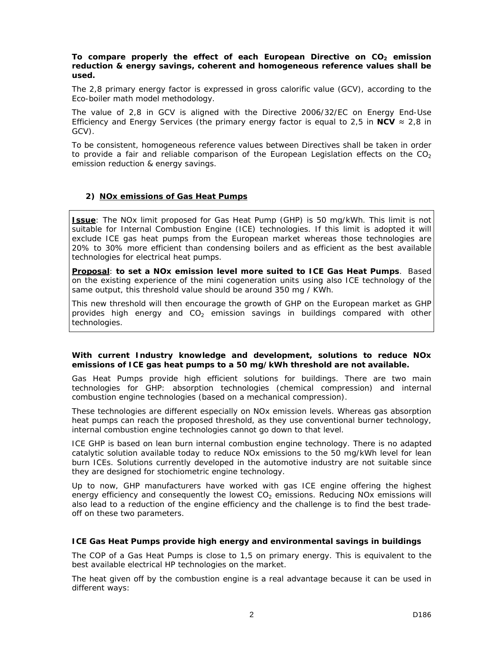### To compare properly the effect of each European Directive on CO<sub>2</sub> emission **reduction & energy savings, coherent and homogeneous reference values shall be used.**

The 2,8 primary energy factor is expressed in gross calorific value (GCV), according to the Eco-boiler math model methodology.

The value of 2,8 in GCV is aligned with the Directive 2006/32/EC on Energy End-Use Efficiency and Energy Services (the primary energy factor is equal to 2,5 in **NCV**  $\approx$  2,8 in GCV).

To be consistent, homogeneous reference values between Directives shall be taken in order to provide a fair and reliable comparison of the European Legislation effects on the  $CO<sub>2</sub>$ emission reduction & energy savings.

### **2) NOx emissions of Gas Heat Pumps**

**Issue**: The NOx limit proposed for Gas Heat Pump (GHP) is 50 mg/kWh. This limit is not suitable for Internal Combustion Engine (ICE) technologies. If this limit is adopted it will exclude ICE gas heat pumps from the European market whereas those technologies are 20% to 30% more efficient than condensing boilers and as efficient as the best available technologies for electrical heat pumps.

**Proposal**: *to set a NOx emission level more suited to ICE Gas Heat Pumps*. Based on the existing experience of the mini cogeneration units using also ICE technology of the same output, this threshold value should be around 350 mg / KWh.

This new threshold will then encourage the growth of GHP on the European market as GHP provides high energy and  $CO<sub>2</sub>$  emission savings in buildings compared with other technologies.

### **With current Industry knowledge and development, solutions to reduce NOx emissions of ICE gas heat pumps to a 50 mg/kWh threshold are not available.**

Gas Heat Pumps provide high efficient solutions for buildings. There are two main technologies for GHP: absorption technologies (chemical compression) and internal combustion engine technologies (based on a mechanical compression).

These technologies are different especially on NOx emission levels. Whereas gas absorption heat pumps can reach the proposed threshold, as they use conventional burner technology, internal combustion engine technologies cannot go down to that level.

ICE GHP is based on lean burn internal combustion engine technology. There is no adapted catalytic solution available today to reduce NOx emissions to the 50 mg/kWh level for lean burn ICEs. Solutions currently developed in the automotive industry are not suitable since they are designed for stochiometric engine technology.

Up to now, GHP manufacturers have worked with gas ICE engine offering the highest energy efficiency and consequently the lowest  $CO<sub>2</sub>$  emissions. Reducing NOx emissions will also lead to a reduction of the engine efficiency and the challenge is to find the best tradeoff on these two parameters.

### **ICE Gas Heat Pumps provide high energy and environmental savings in buildings**

The COP of a Gas Heat Pumps is close to 1,5 on primary energy. This is equivalent to the best available electrical HP technologies on the market.

The heat given off by the combustion engine is a real advantage because it can be used in different ways: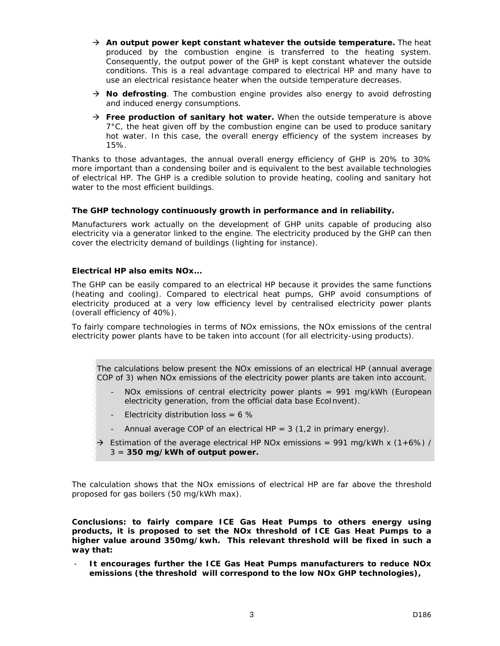- $\rightarrow$  An output power kept constant whatever the outside temperature. The heat produced by the combustion engine is transferred to the heating system. Consequently, the output power of the GHP is kept constant whatever the outside conditions. This is a real advantage compared to electrical HP and many have to use an electrical resistance heater when the outside temperature decreases.
- → **No defrosting**. The combustion engine provides also energy to avoid defrosting and induced energy consumptions.
- → Free production of sanitary hot water. When the outside temperature is above  $7^{\circ}$ C, the heat given off by the combustion engine can be used to produce sanitary hot water. In this case, the overall energy efficiency of the system increases by 15%.

Thanks to those advantages, the annual overall energy efficiency of GHP is 20% to 30% more important than a condensing boiler and is equivalent to the best available technologies of electrical HP. The GHP is a credible solution to provide heating, cooling and sanitary hot water to the most efficient buildings.

### **The GHP technology continuously growth in performance and in reliability.**

Manufacturers work actually on the development of GHP units capable of producing also electricity via a generator linked to the engine. The electricity produced by the GHP can then cover the electricity demand of buildings (lighting for instance).

### **Electrical HP also emits NOx...**

The GHP can be easily compared to an electrical HP because it provides the same functions (heating and cooling). Compared to electrical heat pumps, GHP avoid consumptions of electricity produced at a very low efficiency level by centralised electricity power plants (overall efficiency of 40%).

To fairly compare technologies in terms of NOx emissions, the NOx emissions of the central electricity power plants have to be taken into account (for all electricity-using products).

*The calculations below present the NOx emissions of an electrical HP (annual average COP of 3) when NOx emissions of the electricity power plants are taken into account.* 

- *NOx emissions of central electricity power plants = 991 mg/kWh (European electricity generation, from the official data base EcoInvent).*
- *Electricity distribution loss = 6 %*
- *Annual average COP of an electrical HP = 3 (1,2 in primary energy).*
- $\rightarrow$  Estimation of the average electrical HP NOx emissions = 991 mg/kWh x (1+6%) / *3 = 350 mg/kWh of output power.*

The calculation shows that the NOx emissions of electrical HP are far above the threshold proposed for gas boilers (50 mg/kWh max).

**Conclusions: to fairly compare ICE Gas Heat Pumps to others energy using products, it is proposed to set the NOx threshold of ICE Gas Heat Pumps to a higher value around 350mg/kwh. This relevant threshold will be fixed in such a way that:** 

- **It encourages further the ICE Gas Heat Pumps manufacturers to reduce NOx emissions (the threshold will correspond to the low NOx GHP technologies),**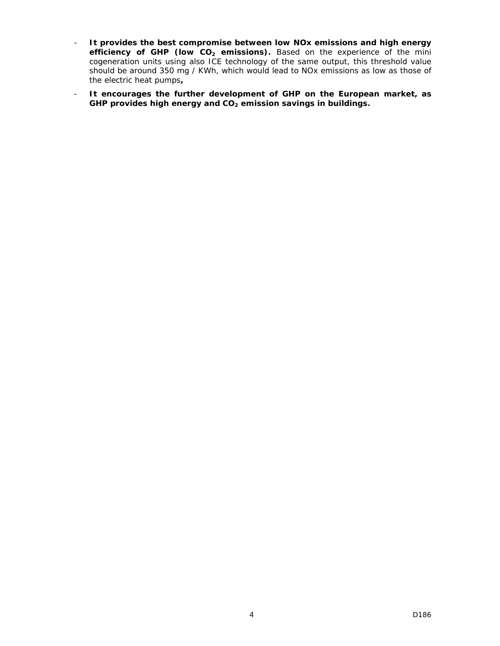- **It provides the best compromise between low NOx emissions and high energy**  efficiency of GHP (low CO<sub>2</sub> emissions). Based on the experience of the mini cogeneration units using also ICE technology of the same output, this threshold value should be around 350 mg / KWh, which would lead to NOx emissions as low as those of the electric heat pumps**,**
- **It encourages the further development of GHP on the European market, as**  GHP provides high energy and CO<sub>2</sub> emission savings in buildings.